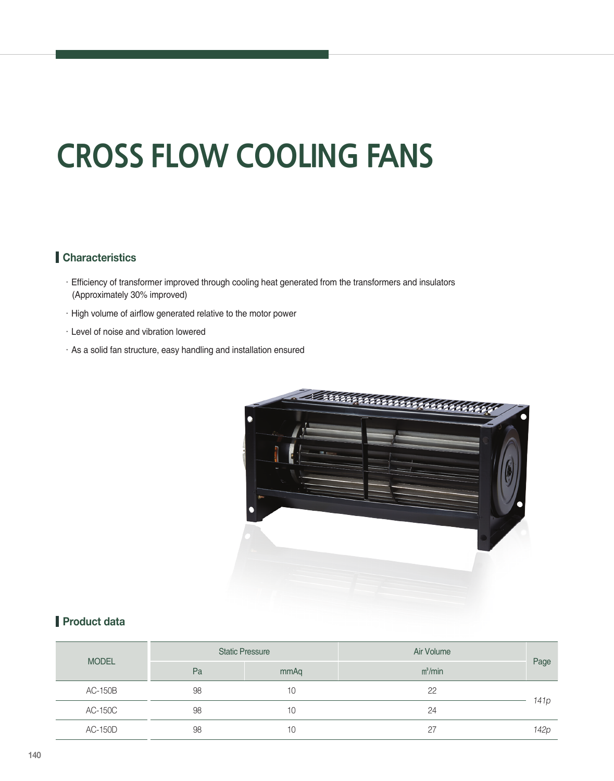# **CROSS FLOW COOLING FANS**

#### **Characteristics**

- ㆍEfficiency of transformer improved through cooling heat generated from the transformers and insulators (Approximately 30% improved)
- ㆍHigh volume of airflow generated relative to the motor power
- ㆍLevel of noise and vibration lowered
- ㆍAs a solid fan structure, easy handling and installation ensured



#### **Product data**

| <b>MODEL</b>   |    | <b>Static Pressure</b> | Air Volume |                  |
|----------------|----|------------------------|------------|------------------|
|                | Pa | mmAq                   | $m^3/m$ in | Page             |
| AC-150B        | 98 | 10                     | 22         | 141p             |
| <b>AC-150C</b> | 98 | 10                     | 24         |                  |
| <b>AC-150D</b> | 98 | 10                     | 27         | 142 <sub>p</sub> |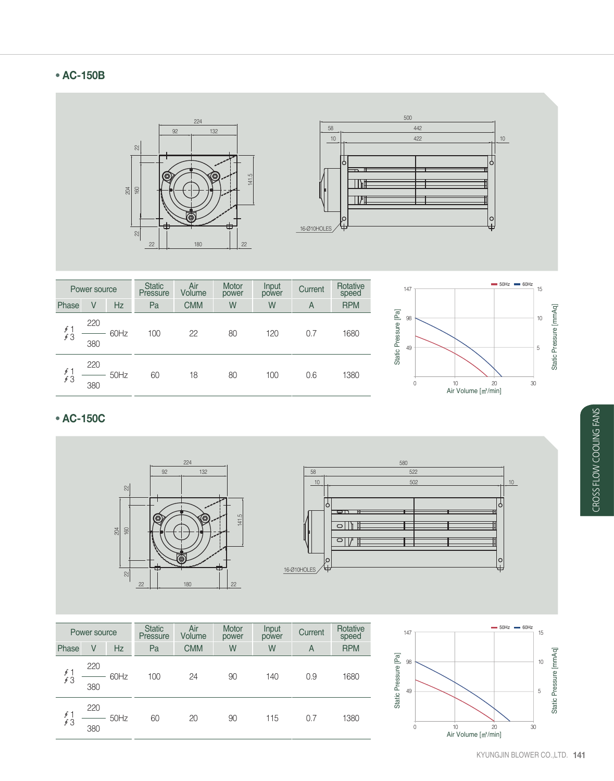## **AC-150B**



| Power source   |     | <b>Static</b><br>Pressure | Air<br>Volume | <b>Motor</b><br>power | Input<br>power | Current | Rotative<br>speed |            |
|----------------|-----|---------------------------|---------------|-----------------------|----------------|---------|-------------------|------------|
| Phase          | V   | Hz                        | Pa            | <b>CMM</b>            | W              | W       | A                 | <b>RPM</b> |
| $\oint$<br>\$3 | 220 | 60Hz                      | 100           | 22                    | 80             | 120     | 0.7               | 1680       |
|                | 380 |                           |               |                       |                |         |                   |            |
| $\int$<br>63   | 220 | 50Hz                      | 60            | 18                    | 80             | 100     | 0.6               | 1380       |
|                | 380 |                           |               |                       |                |         |                   |            |



### **AC-150C**



| Power source |            | <b>Static</b><br>Pressure | Air<br>Volume | <b>Motor</b><br>power | Input<br>power | Current | Rotative<br>speed |            |
|--------------|------------|---------------------------|---------------|-----------------------|----------------|---------|-------------------|------------|
| Phase        | V          | <b>Hz</b>                 | Pa            | <b>CMM</b>            | W              | W       | Α                 | <b>RPM</b> |
| 5/3          | 220<br>380 | 60Hz                      | 100           | 24                    | 90             | 140     | 0.9               | 1680       |
| 5/3          | 220<br>380 | 50Hz                      | 60            | 20                    | 90             | 115     | 0.7               | 1380       |



o<br>+